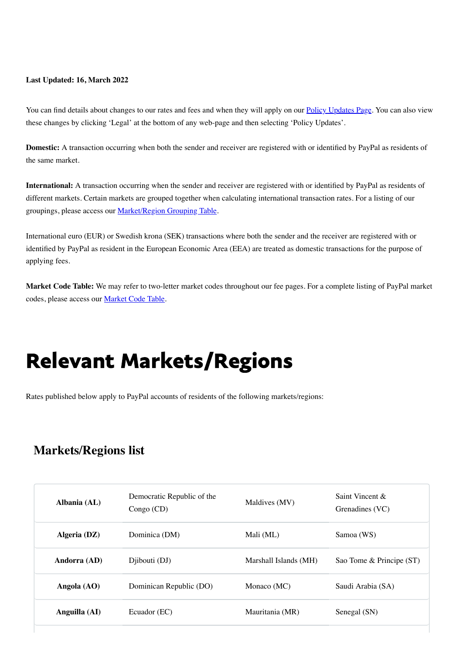#### **Last Updated: 16, March 2022**

You can find details about changes to our rates and fees and when they will apply on our **Policy Updates Page**. You can also view these changes by clicking 'Legal' at the bottom of any web-page and then selecting 'Policy Updates'.

<span id="page-0-0"></span>**Domestic:** A transaction occurring when both the sender and receiver are registered with or identified by PayPal as residents of the same market.

**International:** A transaction occurring when the sender and receiver are registered with or identified by PayPal as residents of different markets. Certain markets are grouped together when calculating international transaction rates. For a listing of our groupings, please access our [Market/Region Grouping Table](#page-0-0).

International euro (EUR) or Swedish krona (SEK) transactions where both the sender and the receiver are registered with or identified by PayPal as resident in the European Economic Area (EEA) are treated as domestic transactions for the purpose of applying fees.

**Market Code Table:** We may refer to two-letter market codes throughout our fee pages. For a complete listing of PayPal market codes, please access our [Market Code Table.](#page-0-0)

# Relevant Markets/Regions

Rates published below apply to PayPal accounts of residents of the following markets/regions:

### **Markets/Regions list**

| Albania (AL)  | Democratic Republic of the<br>Congo (CD) | Maldives (MV)         | Saint Vincent &<br>Grenadines (VC) |
|---------------|------------------------------------------|-----------------------|------------------------------------|
| Algeria (DZ)  | Dominica (DM)                            | Mali (ML)             | Samoa (WS)                         |
| Andorra (AD)  | Diibouti (DJ)                            | Marshall Islands (MH) | Sao Tome & Principe (ST)           |
| Angola $(AO)$ | Dominican Republic (DO)                  | Monaco (MC)           | Saudi Arabia (SA)                  |
| Anguilla (AI) | Ecuador (EC)                             | Mauritania (MR)       | Senegal (SN)                       |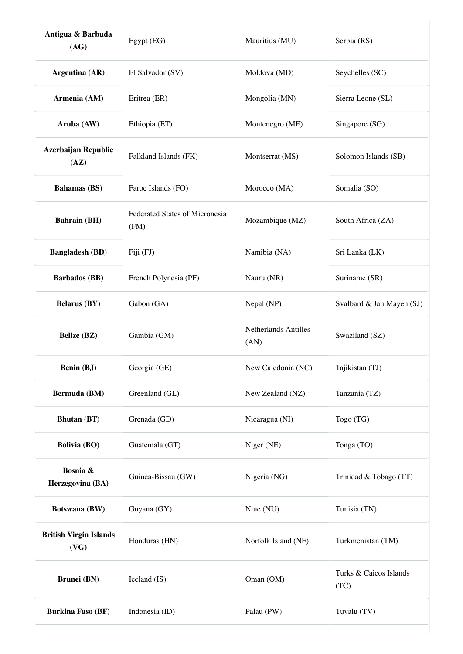| Antigua & Barbuda<br>(AG)             | Egypt (EG)                             | Mauritius (MU)               | Serbia (RS)                    |
|---------------------------------------|----------------------------------------|------------------------------|--------------------------------|
| Argentina (AR)                        | El Salvador (SV)                       | Moldova (MD)                 | Seychelles (SC)                |
| Armenia (AM)                          | Eritrea (ER)                           | Mongolia (MN)                | Sierra Leone (SL)              |
| Aruba (AW)                            | Ethiopia (ET)                          | Montenegro (ME)              | Singapore (SG)                 |
| <b>Azerbaijan Republic</b><br>(AZ)    | Falkland Islands (FK)                  | Montserrat (MS)              | Solomon Islands (SB)           |
| <b>Bahamas</b> (BS)                   | Faroe Islands (FO)                     | Morocco (MA)                 | Somalia (SO)                   |
| <b>Bahrain</b> (BH)                   | Federated States of Micronesia<br>(FM) | Mozambique (MZ)              | South Africa (ZA)              |
| <b>Bangladesh (BD)</b>                | Fiji (FJ)                              | Namibia (NA)                 | Sri Lanka (LK)                 |
| <b>Barbados</b> (BB)                  | French Polynesia (PF)                  | Nauru (NR)                   | Suriname (SR)                  |
| <b>Belarus (BY)</b>                   | Gabon (GA)                             | Nepal (NP)                   | Svalbard & Jan Mayen (SJ)      |
| <b>Belize</b> (BZ)                    | Gambia (GM)                            | Netherlands Antilles<br>(AN) | Swaziland (SZ)                 |
| <b>Benin (BJ)</b>                     | Georgia (GE)                           | New Caledonia (NC)           | Tajikistan (TJ)                |
| <b>Bermuda</b> (BM)                   | Greenland (GL)                         | New Zealand (NZ)             | Tanzania (TZ)                  |
| <b>Bhutan</b> (BT)                    | Grenada (GD)                           | Nicaragua (NI)               | Togo (TG)                      |
| <b>Bolivia (BO)</b>                   | Guatemala (GT)                         | Niger (NE)                   | Tonga (TO)                     |
| Bosnia &<br>Herzegovina (BA)          | Guinea-Bissau (GW)                     | Nigeria (NG)                 | Trinidad & Tobago (TT)         |
| <b>Botswana</b> (BW)                  | Guyana (GY)                            | Niue (NU)                    | Tunisia (TN)                   |
| <b>British Virgin Islands</b><br>(VG) | Honduras (HN)                          | Norfolk Island (NF)          | Turkmenistan (TM)              |
| <b>Brunei</b> (BN)                    | Iceland (IS)                           | Oman (OM)                    | Turks & Caicos Islands<br>(TC) |
|                                       |                                        |                              |                                |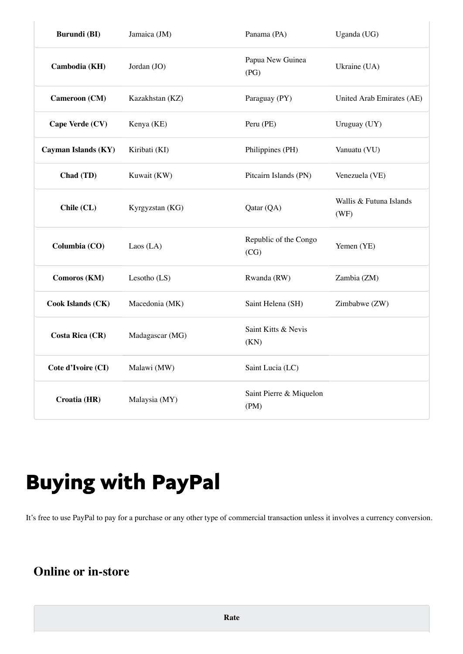| <b>Burundi</b> (BI)      | Jamaica (JM)    | Panama (PA)                     | Uganda (UG)                     |
|--------------------------|-----------------|---------------------------------|---------------------------------|
| Cambodia (KH)            | Jordan (JO)     | Papua New Guinea<br>(PG)        | Ukraine (UA)                    |
| <b>Cameroon</b> (CM)     | Kazakhstan (KZ) | Paraguay (PY)                   | United Arab Emirates (AE)       |
| Cape Verde (CV)          | Kenya (KE)      | Peru (PE)                       | Uruguay (UY)                    |
| Cayman Islands (KY)      | Kiribati (KI)   | Philippines (PH)                | Vanuatu (VU)                    |
| Chad (TD)                | Kuwait (KW)     | Pitcairn Islands (PN)           | Venezuela (VE)                  |
| Chile (CL)               | Kyrgyzstan (KG) | Qatar (QA)                      | Wallis & Futuna Islands<br>(WF) |
| Columbia (CO)            | Laos $(LA)$     | Republic of the Congo<br>(CG)   | Yemen (YE)                      |
| Comoros (KM)             | Lesotho $(LS)$  | Rwanda (RW)                     | Zambia (ZM)                     |
| <b>Cook Islands (CK)</b> | Macedonia (MK)  | Saint Helena (SH)               | Zimbabwe (ZW)                   |
| <b>Costa Rica (CR)</b>   | Madagascar (MG) | Saint Kitts & Nevis<br>(KN)     |                                 |
| Cote d'Ivoire (CI)       | Malawi (MW)     | Saint Lucia (LC)                |                                 |
| Croatia (HR)             | Malaysia (MY)   | Saint Pierre & Miquelon<br>(PM) |                                 |

# Buying with PayPal

It's free to use PayPal to pay for a purchase or any other type of commercial transaction unless it involves a currency conversion.

## **Online or in-store**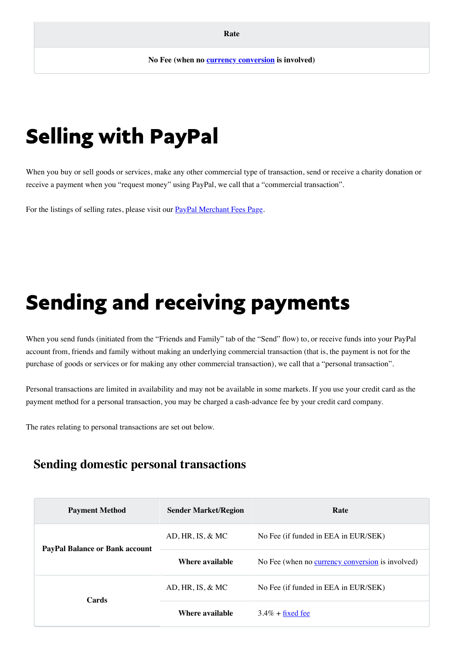# Selling with PayPal

When you buy or sell goods or services, make any other commercial type of transaction, send or receive a charity donation or receive a payment when you "request money" using PayPal, we call that a "commercial transaction".

For the listings of selling rates, please visit our **PayPal Merchant Fees Page**.

# Sending and receiving payments

When you send funds (initiated from the "Friends and Family" tab of the "Send" flow) to, or receive funds into your PayPal account from, friends and family without making an underlying commercial transaction (that is, the payment is not for the purchase of goods or services or for making any other commercial transaction), we call that a "personal transaction".

Personal transactions are limited in availability and may not be available in some markets. If you use your credit card as the payment method for a personal transaction, you may be charged a cash-advance fee by your credit card company.

The rates relating to personal transactions are set out below.

### **Sending domestic personal transactions**

| <b>Payment Method</b>                 | <b>Sender Market/Region</b> | Rate                                             |  |
|---------------------------------------|-----------------------------|--------------------------------------------------|--|
| <b>PayPal Balance or Bank account</b> | $AD, HR, IS, \& MC$         | No Fee (if funded in EEA in EUR/SEK)             |  |
|                                       | Where available             | No Fee (when no currency conversion is involved) |  |
| Cards                                 | $AD, HR, IS, \& MC$         | No Fee (if funded in EEA in EUR/SEK)             |  |
|                                       | Where available             | $3.4\%$ + fixed fee                              |  |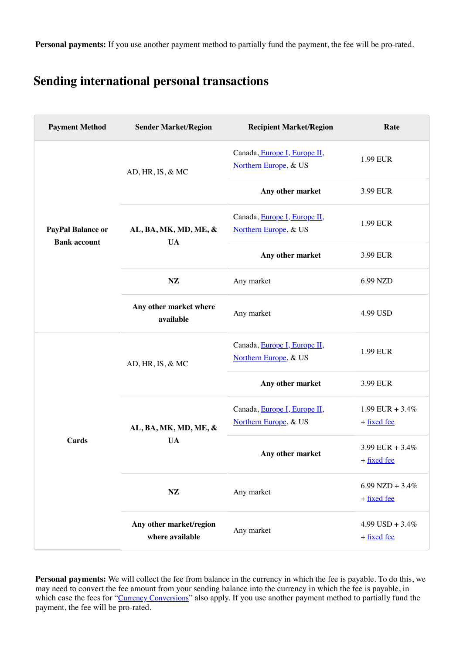**Personal payments:** If you use another payment method to partially fund the payment, the fee will be pro-rated.

### **Sending international personal transactions**

| <b>Payment Method</b>                    | <b>Sender Market/Region</b>                | <b>Recipient Market/Region</b>                        | Rate                                  |
|------------------------------------------|--------------------------------------------|-------------------------------------------------------|---------------------------------------|
| PayPal Balance or<br><b>Bank account</b> | AD, HR, IS, & MC                           | Canada, Europe I, Europe II,<br>Northern Europe, & US | 1.99 EUR                              |
|                                          |                                            | Any other market                                      | 3.99 EUR                              |
|                                          | AL, BA, MK, MD, ME, &<br><b>UA</b>         | Canada, Europe I, Europe II,<br>Northern Europe, & US | 1.99 EUR                              |
|                                          |                                            | Any other market                                      | 3.99 EUR                              |
|                                          | $\mathbf{NZ}$                              | Any market                                            | 6.99 NZD                              |
|                                          | Any other market where<br>available        | Any market                                            | 4.99 USD                              |
| <b>Cards</b>                             | AD, HR, IS, & MC                           | Canada, Europe I, Europe II,<br>Northern Europe, & US | 1.99 EUR                              |
|                                          |                                            | Any other market                                      | 3.99 EUR                              |
|                                          | AL, BA, MK, MD, ME, &<br><b>UA</b>         | Canada, Europe I, Europe II,<br>Northern Europe, & US | 1.99 EUR + $3.4\%$<br>+ fixed fee     |
|                                          |                                            | Any other market                                      | 3.99 EUR + $3.4\%$<br>$+$ fixed fee   |
|                                          | NZ                                         | Any market                                            | $6.99$ NZD + $3.4\%$<br>$+$ fixed fee |
|                                          | Any other market/region<br>where available | Any market                                            | $4.99$ USD + $3.4\%$<br>+ fixed fee   |

<span id="page-4-0"></span>**Personal payments:** We will collect the fee from balance in the currency in which the fee is payable. To do this, we may need to convert the fee amount from your sending balance into the currency in which the fee is payable, in which case the fees for "[Currency Conversions](#page-6-0)" also apply. If you use another payment method to partially fund the payment, the fee will be pro-rated.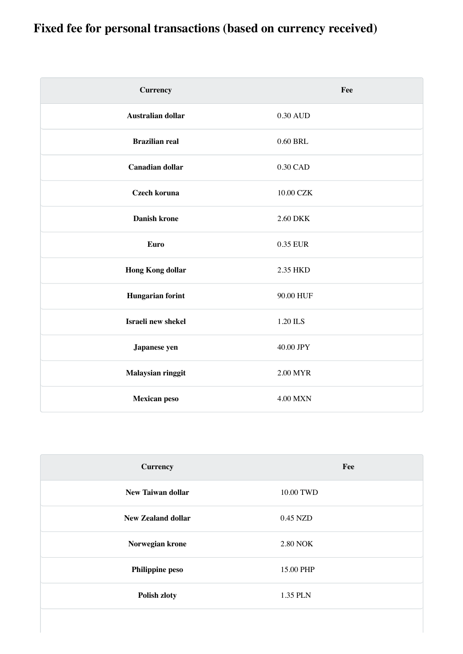## **Fixed fee for personal transactions (based on currency received)**

| <b>Currency</b>          | Fee             |
|--------------------------|-----------------|
| <b>Australian dollar</b> | 0.30 AUD        |
| <b>Brazilian real</b>    | 0.60 BRL        |
| <b>Canadian dollar</b>   | 0.30 CAD        |
| <b>Czech koruna</b>      | 10.00 CZK       |
| <b>Danish krone</b>      | 2.60 DKK        |
| <b>Euro</b>              | 0.35 EUR        |
| <b>Hong Kong dollar</b>  | 2.35 HKD        |
| <b>Hungarian forint</b>  | 90.00 HUF       |
| Israeli new shekel       | 1.20 ILS        |
| Japanese yen             | 40.00 JPY       |
| Malaysian ringgit        | 2.00 MYR        |
| <b>Mexican peso</b>      | <b>4.00 MXN</b> |

| <b>Currency</b>           | Fee             |
|---------------------------|-----------------|
| <b>New Taiwan dollar</b>  | 10.00 TWD       |
| <b>New Zealand dollar</b> | 0.45 NZD        |
| Norwegian krone           | <b>2.80 NOK</b> |
| <b>Philippine peso</b>    | 15.00 PHP       |
| <b>Polish zloty</b>       | 1.35 PLN        |
|                           |                 |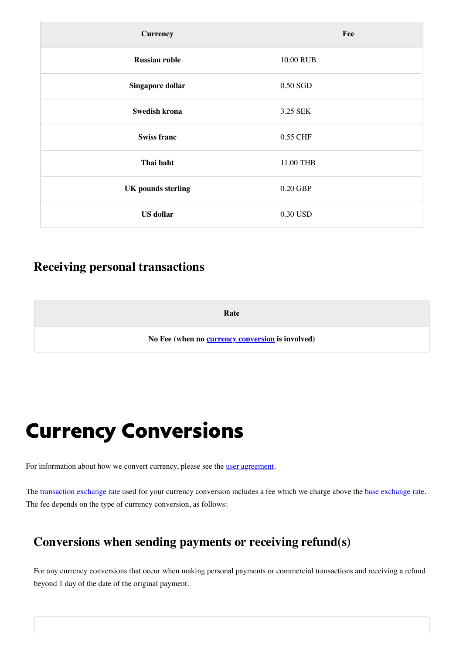| <b>Currency</b>           | Fee       |
|---------------------------|-----------|
| <b>Russian ruble</b>      | 10.00 RUB |
| Singapore dollar          | 0.50 SGD  |
| <b>Swedish krona</b>      | 3.25 SEK  |
| <b>Swiss franc</b>        | 0.55 CHF  |
| Thai baht                 | 11.00 THB |
| <b>UK</b> pounds sterling | 0.20 GBP  |
| <b>US</b> dollar          | 0.30 USD  |

### **Receiving personal transactions**

<span id="page-6-1"></span>**Rate**

**No Fee (when no [currency conversion](#page-6-1) is involved)**

## <span id="page-6-0"></span>Currency Conversions

For information about how we convert currency, please see the **[user agreement](https://www.paypal.com/eg/webapps/mpp/ua/useragreement-full#currency-conversion1)**.

The [transaction exchange rate](https://www.paypal.com/eg/webapps/mpp/ua/useragreement-full#currency-conversion1) used for your currency conversion includes a fee which we charge above the [base exchange rate.](https://www.paypal.com/eg/webapps/mpp/ua/useragreement-full#currency-conversion1) The fee depends on the type of currency conversion, as follows:

### **Conversions when sending payments or receiving refund(s)**

For any currency conversions that occur when making personal payments or commercial transactions and receiving a refund beyond 1 day of the date of the original payment.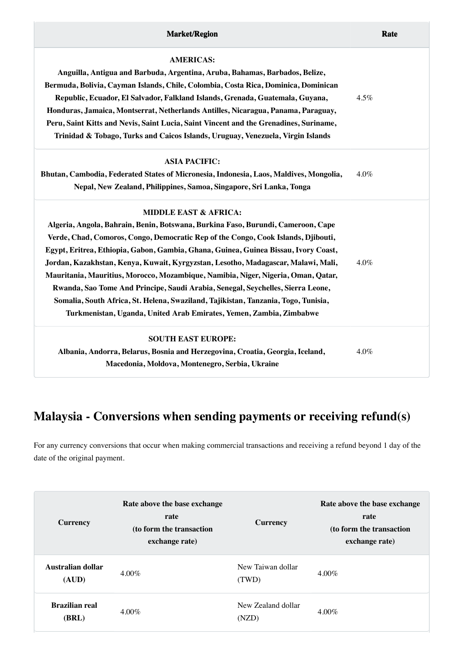| <b>AMERICAS:</b>                                                                       |         |
|----------------------------------------------------------------------------------------|---------|
| Anguilla, Antigua and Barbuda, Argentina, Aruba, Bahamas, Barbados, Belize,            |         |
| Bermuda, Bolivia, Cayman Islands, Chile, Colombia, Costa Rica, Dominica, Dominican     |         |
| Republic, Ecuador, El Salvador, Falkland Islands, Grenada, Guatemala, Guyana,          | $4.5\%$ |
| Honduras, Jamaica, Montserrat, Netherlands Antilles, Nicaragua, Panama, Paraguay,      |         |
| Peru, Saint Kitts and Nevis, Saint Lucia, Saint Vincent and the Grenadines, Suriname,  |         |
| Trinidad & Tobago, Turks and Caicos Islands, Uruguay, Venezuela, Virgin Islands        |         |
| <b>ASIA PACIFIC:</b>                                                                   |         |
| Bhutan, Cambodia, Federated States of Micronesia, Indonesia, Laos, Maldives, Mongolia, | $4.0\%$ |

**Nepal, New Zealand, Philippines, Samoa, Singapore, Sri Lanka, Tonga**

#### **MIDDLE EAST & AFRICA:**

| Algeria, Angola, Bahrain, Benin, Botswana, Burkina Faso, Burundi, Cameroon, Cape<br>Verde, Chad, Comoros, Congo, Democratic Rep of the Congo, Cook Islands, Djibouti,<br>Egypt, Eritrea, Ethiopia, Gabon, Gambia, Ghana, Guinea, Guinea Bissau, Ivory Coast,<br>Jordan, Kazakhstan, Kenya, Kuwait, Kyrgyzstan, Lesotho, Madagascar, Malawi, Mali, | $4.0\%$ |
|---------------------------------------------------------------------------------------------------------------------------------------------------------------------------------------------------------------------------------------------------------------------------------------------------------------------------------------------------|---------|
| Mauritania, Mauritius, Morocco, Mozambique, Namibia, Niger, Nigeria, Oman, Qatar,<br>Rwanda, Sao Tome And Principe, Saudi Arabia, Senegal, Seychelles, Sierra Leone,<br>Somalia, South Africa, St. Helena, Swaziland, Tajikistan, Tanzania, Togo, Tunisia,<br>Turkmenistan, Uganda, United Arab Emirates, Yemen, Zambia, Zimbabwe                 |         |
| <b>SOUTH EAST EUROPE:</b><br>Albania, Andorra, Belarus, Bosnia and Herzegovina, Croatia, Georgia, Iceland,                                                                                                                                                                                                                                        | $4.0\%$ |

**Macedonia, Moldova, Montenegro, Serbia, Ukraine**

## **Malaysia - Conversions when sending payments or receiving refund(s)**

For any currency conversions that occur when making commercial transactions and receiving a refund beyond 1 day of the date of the original payment.

| <b>Currency</b>                | Rate above the base exchange<br>rate<br>(to form the transaction<br>exchange rate) | <b>Currency</b>             | Rate above the base exchange<br>rate<br>(to form the transaction<br>exchange rate) |
|--------------------------------|------------------------------------------------------------------------------------|-----------------------------|------------------------------------------------------------------------------------|
| Australian dollar<br>(AUD)     | $4.00\%$                                                                           | New Taiwan dollar<br>(TWD)  | $4.00\%$                                                                           |
| <b>Brazilian real</b><br>(BRL) | $4.00\%$                                                                           | New Zealand dollar<br>(NZD) | $4.00\%$                                                                           |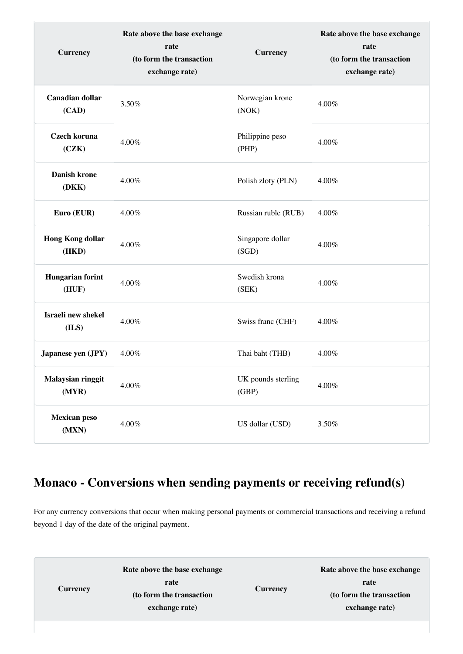| <b>Currency</b>                   | Rate above the base exchange<br>rate<br>(to form the transaction<br>exchange rate) | <b>Currency</b>             | Rate above the base exchange<br>rate<br>(to form the transaction<br>exchange rate) |
|-----------------------------------|------------------------------------------------------------------------------------|-----------------------------|------------------------------------------------------------------------------------|
| <b>Canadian dollar</b><br>(CAD)   | 3.50%                                                                              | Norwegian krone<br>(NOK)    | 4.00%                                                                              |
| <b>Czech koruna</b><br>(CZK)      | $4.00\%$                                                                           | Philippine peso<br>(PHP)    | 4.00%                                                                              |
| <b>Danish krone</b><br>(DKK)      | 4.00%                                                                              | Polish zloty (PLN)          | 4.00%                                                                              |
| Euro (EUR)                        | 4.00%                                                                              | Russian ruble (RUB)         | 4.00%                                                                              |
| <b>Hong Kong dollar</b><br>(HKD)  | 4.00%                                                                              | Singapore dollar<br>(SGD)   | 4.00%                                                                              |
| <b>Hungarian forint</b><br>(HUF)  | 4.00%                                                                              | Swedish krona<br>(SEK)      | 4.00%                                                                              |
| Israeli new shekel<br>(ILS)       | 4.00%                                                                              | Swiss franc (CHF)           | 4.00%                                                                              |
| Japanese yen (JPY)                | 4.00%                                                                              | Thai baht (THB)             | 4.00%                                                                              |
| <b>Malaysian ringgit</b><br>(MYR) | $4.00\%$                                                                           | UK pounds sterling<br>(GBP) | $4.00\%$                                                                           |
| <b>Mexican peso</b><br>(MXN)      | $4.00\%$                                                                           | US dollar (USD)             | 3.50%                                                                              |

## **Monaco - Conversions when sending payments or receiving refund(s)**

For any currency conversions that occur when making personal payments or commercial transactions and receiving a refund beyond 1 day of the date of the original payment.

|                 | Rate above the base exchange |                 | Rate above the base exchange |
|-----------------|------------------------------|-----------------|------------------------------|
| <b>Currency</b> | rate                         | <b>Currency</b> | rate                         |
|                 | (to form the transaction     |                 | (to form the transaction     |
|                 | exchange rate)               |                 | exchange rate)               |
|                 |                              |                 |                              |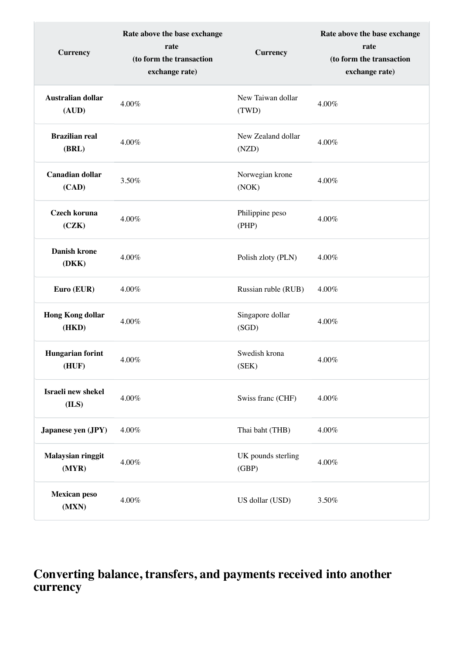| <b>Currency</b>                   | Rate above the base exchange<br>rate<br>(to form the transaction<br>exchange rate) | <b>Currency</b>             | Rate above the base exchange<br>rate<br>(to form the transaction<br>exchange rate) |
|-----------------------------------|------------------------------------------------------------------------------------|-----------------------------|------------------------------------------------------------------------------------|
| <b>Australian dollar</b><br>(AUD) | 4.00%                                                                              | New Taiwan dollar<br>(TWD)  | 4.00%                                                                              |
| <b>Brazilian real</b><br>(BRL)    | 4.00%                                                                              | New Zealand dollar<br>(NZD) | 4.00%                                                                              |
| <b>Canadian dollar</b><br>(CAD)   | 3.50%                                                                              | Norwegian krone<br>(NOK)    | 4.00%                                                                              |
| <b>Czech koruna</b><br>(CZK)      | 4.00%                                                                              | Philippine peso<br>(PHP)    | 4.00%                                                                              |
| <b>Danish krone</b><br>(DKK)      | 4.00%                                                                              | Polish zloty (PLN)          | 4.00%                                                                              |
| Euro (EUR)                        | 4.00%                                                                              | Russian ruble (RUB)         | 4.00%                                                                              |
| <b>Hong Kong dollar</b><br>(HKD)  | 4.00%                                                                              | Singapore dollar<br>(SGD)   | 4.00%                                                                              |
| <b>Hungarian forint</b><br>(HUF)  | 4.00%                                                                              | Swedish krona<br>(SEK)      | 4.00%                                                                              |
| Israeli new shekel<br>(ILS)       | 4.00%                                                                              | Swiss franc (CHF)           | 4.00%                                                                              |
| Japanese yen (JPY)                | 4.00%                                                                              | Thai baht (THB)             | 4.00%                                                                              |
| <b>Malaysian ringgit</b><br>(MYR) | 4.00%                                                                              | UK pounds sterling<br>(GBP) | 4.00%                                                                              |
| <b>Mexican peso</b><br>(MXN)      | 4.00%                                                                              | US dollar (USD)             | 3.50%                                                                              |

### **Converting balance, transfers, and payments received into another currency**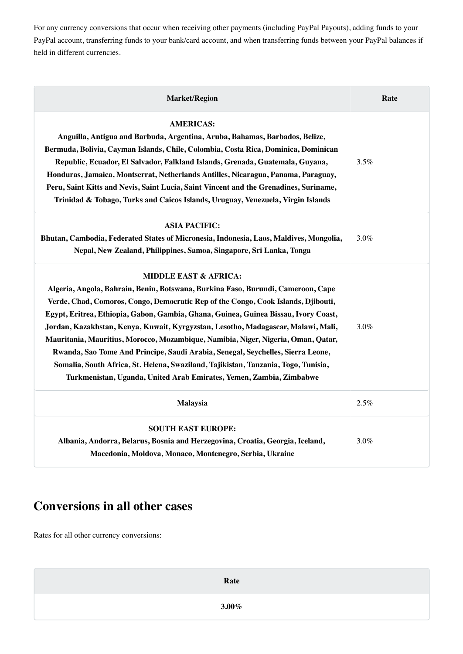For any currency conversions that occur when receiving other payments (including PayPal Payouts), adding funds to your PayPal account, transferring funds to your bank/card account, and when transferring funds between your PayPal balances if held in different currencies.

| <b>Market/Region</b>                                                                                                                                                                                                                                                                                                                                                                                                                                                                                                                                                                                                                                                                                                       | Rate |
|----------------------------------------------------------------------------------------------------------------------------------------------------------------------------------------------------------------------------------------------------------------------------------------------------------------------------------------------------------------------------------------------------------------------------------------------------------------------------------------------------------------------------------------------------------------------------------------------------------------------------------------------------------------------------------------------------------------------------|------|
| <b>AMERICAS:</b><br>Anguilla, Antigua and Barbuda, Argentina, Aruba, Bahamas, Barbados, Belize,<br>Bermuda, Bolivia, Cayman Islands, Chile, Colombia, Costa Rica, Dominica, Dominican<br>Republic, Ecuador, El Salvador, Falkland Islands, Grenada, Guatemala, Guyana,<br>Honduras, Jamaica, Montserrat, Netherlands Antilles, Nicaragua, Panama, Paraguay,<br>Peru, Saint Kitts and Nevis, Saint Lucia, Saint Vincent and the Grenadines, Suriname,<br>Trinidad & Tobago, Turks and Caicos Islands, Uruguay, Venezuela, Virgin Islands                                                                                                                                                                                    | 3.5% |
| <b>ASIA PACIFIC:</b><br>Bhutan, Cambodia, Federated States of Micronesia, Indonesia, Laos, Maldives, Mongolia,<br>Nepal, New Zealand, Philippines, Samoa, Singapore, Sri Lanka, Tonga                                                                                                                                                                                                                                                                                                                                                                                                                                                                                                                                      | 3.0% |
| <b>MIDDLE EAST &amp; AFRICA:</b><br>Algeria, Angola, Bahrain, Benin, Botswana, Burkina Faso, Burundi, Cameroon, Cape<br>Verde, Chad, Comoros, Congo, Democratic Rep of the Congo, Cook Islands, Djibouti,<br>Egypt, Eritrea, Ethiopia, Gabon, Gambia, Ghana, Guinea, Guinea Bissau, Ivory Coast,<br>Jordan, Kazakhstan, Kenya, Kuwait, Kyrgyzstan, Lesotho, Madagascar, Malawi, Mali,<br>Mauritania, Mauritius, Morocco, Mozambique, Namibia, Niger, Nigeria, Oman, Qatar,<br>Rwanda, Sao Tome And Principe, Saudi Arabia, Senegal, Seychelles, Sierra Leone,<br>Somalia, South Africa, St. Helena, Swaziland, Tajikistan, Tanzania, Togo, Tunisia,<br>Turkmenistan, Uganda, United Arab Emirates, Yemen, Zambia, Zimbabwe | 3.0% |
| <b>Malaysia</b>                                                                                                                                                                                                                                                                                                                                                                                                                                                                                                                                                                                                                                                                                                            | 2.5% |
| <b>SOUTH EAST EUROPE:</b><br>Albania, Andorra, Belarus, Bosnia and Herzegovina, Croatia, Georgia, Iceland,<br>Macedonia, Moldova, Monaco, Montenegro, Serbia, Ukraine                                                                                                                                                                                                                                                                                                                                                                                                                                                                                                                                                      | 3.0% |

### **Conversions in all other cases**

Rates for all other currency conversions:

**Rate**

**3.00%**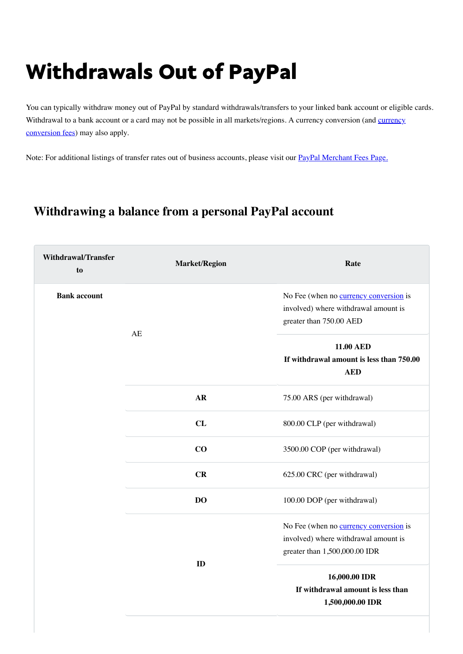# Withdrawals Out of PayPal

You can typically withdraw money out of PayPal by standard withdrawals/transfers to your linked bank account or eligible cards. [Withdrawal to a bank account or a card may not be possible in all markets/regions. A currency conversion \(and currency](#page-6-0) conversion fees) may also apply.

Note: For additional listings of transfer rates out of business accounts, please visit our [PayPal Merchant Fees Page.](https://www.paypal.com/eg/webapps/mpp/merchant-fees)

### **Withdrawing a balance from a personal PayPal account**

| <b>Withdrawal/Transfer</b><br>to | <b>Market/Region</b> | Rate                                                                                                                   |
|----------------------------------|----------------------|------------------------------------------------------------------------------------------------------------------------|
| <b>Bank account</b>              |                      | No Fee (when no currency conversion is<br>involved) where withdrawal amount is<br>greater than 750.00 AED              |
|                                  | AE                   | <b>11.00 AED</b><br>If withdrawal amount is less than 750.00<br><b>AED</b>                                             |
|                                  | <b>AR</b>            | 75.00 ARS (per withdrawal)                                                                                             |
|                                  | CL                   | 800.00 CLP (per withdrawal)                                                                                            |
|                                  | CO                   | 3500.00 COP (per withdrawal)                                                                                           |
|                                  | CR                   | 625.00 CRC (per withdrawal)                                                                                            |
|                                  | DO                   | 100.00 DOP (per withdrawal)                                                                                            |
|                                  | ID                   | No Fee (when no <b>currency conversion</b> is<br>involved) where withdrawal amount is<br>greater than 1,500,000.00 IDR |
|                                  |                      | 16,000.00 IDR<br>If withdrawal amount is less than<br>1,500,000.00 IDR                                                 |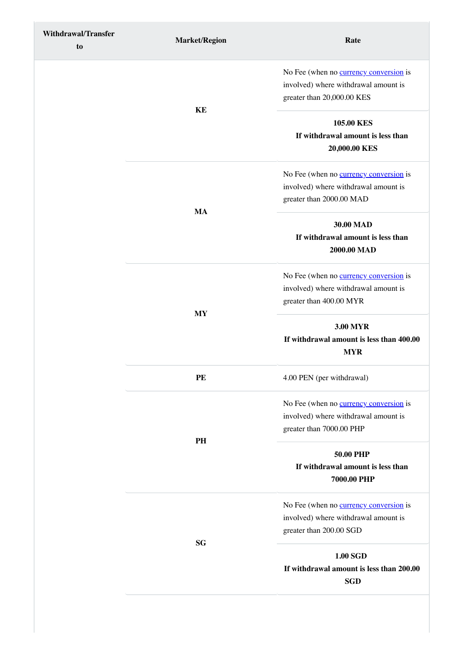| <b>Withdrawal/Transfer</b><br>to | <b>Market/Region</b> | Rate                                                                                                                                                    |
|----------------------------------|----------------------|---------------------------------------------------------------------------------------------------------------------------------------------------------|
|                                  | KE                   | No Fee (when no <b>currency conversion</b> is<br>involved) where withdrawal amount is<br>greater than 20,000.00 KES                                     |
|                                  |                      | 105.00 KES<br>If withdrawal amount is less than<br>20,000.00 KES                                                                                        |
|                                  | <b>MA</b>            | No Fee (when no <b>currency conversion</b> is<br>involved) where withdrawal amount is<br>greater than 2000.00 MAD                                       |
|                                  |                      | 30.00 MAD<br>If withdrawal amount is less than<br>2000.00 MAD                                                                                           |
|                                  |                      | No Fee (when no <b>currency conversion</b> is<br>involved) where withdrawal amount is<br>greater than 400.00 MYR                                        |
|                                  | <b>MY</b>            | <b>3.00 MYR</b><br>If withdrawal amount is less than 400.00<br><b>MYR</b><br>4.00 PEN (per withdrawal)<br>No Fee (when no <b>currency conversion</b> is |
|                                  | PE                   |                                                                                                                                                         |
|                                  | PH                   | involved) where withdrawal amount is<br>greater than 7000.00 PHP                                                                                        |
|                                  |                      | <b>50.00 PHP</b><br>If withdrawal amount is less than<br>7000.00 PHP                                                                                    |
|                                  | <b>SG</b>            | No Fee (when no <b>currency conversion</b> is<br>involved) where withdrawal amount is<br>greater than 200.00 SGD                                        |
|                                  |                      | 1.00 SGD<br>If withdrawal amount is less than 200.00<br><b>SGD</b>                                                                                      |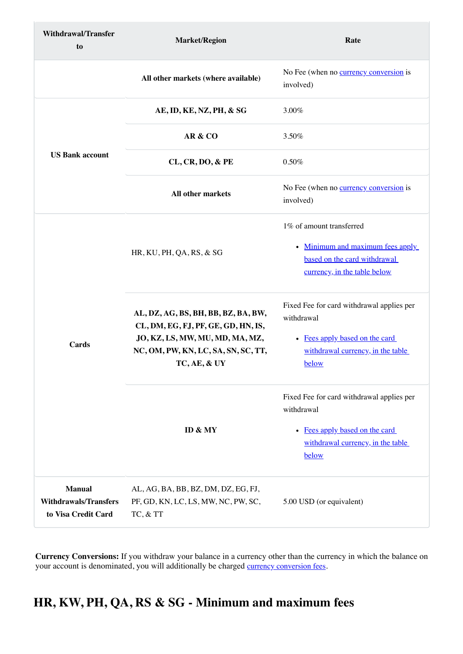| <b>Withdrawal/Transfer</b><br>to                                     | <b>Market/Region</b>                                                                                                                                                 | Rate                                                                                                                                               |
|----------------------------------------------------------------------|----------------------------------------------------------------------------------------------------------------------------------------------------------------------|----------------------------------------------------------------------------------------------------------------------------------------------------|
|                                                                      | All other markets (where available)                                                                                                                                  | No Fee (when no <b>currency conversion</b> is<br>involved)                                                                                         |
|                                                                      | AE, ID, KE, NZ, PH, & SG                                                                                                                                             | 3.00%                                                                                                                                              |
|                                                                      | AR & CO                                                                                                                                                              | 3.50%                                                                                                                                              |
| <b>US Bank account</b>                                               | <b>CL, CR, DO, &amp; PE</b>                                                                                                                                          | 0.50%                                                                                                                                              |
|                                                                      | All other markets                                                                                                                                                    | No Fee (when no currency conversion is<br>involved)                                                                                                |
| <b>Cards</b>                                                         | HR, KU, PH, QA, RS, & SG                                                                                                                                             | 1% of amount transferred<br>Minimum and maximum fees apply<br>$\bullet$<br>based on the card withdrawal<br>currency, in the table below            |
|                                                                      | AL, DZ, AG, BS, BH, BB, BZ, BA, BW,<br>CL, DM, EG, FJ, PF, GE, GD, HN, IS,<br>JO, KZ, LS, MW, MU, MD, MA, MZ,<br>NC, OM, PW, KN, LC, SA, SN, SC, TT,<br>TC, AE, & UY | Fixed Fee for card withdrawal applies per<br>withdrawal<br>• Fees apply based on the card<br>withdrawal currency, in the table<br>below            |
|                                                                      | ID & MY                                                                                                                                                              | Fixed Fee for card withdrawal applies per<br>withdrawal<br>Fees apply based on the card<br>$\bullet$<br>withdrawal currency, in the table<br>below |
| <b>Manual</b><br><b>Withdrawals/Transfers</b><br>to Visa Credit Card | AL, AG, BA, BB, BZ, DM, DZ, EG, FJ,<br>PF, GD, KN, LC, LS, MW, NC, PW, SC,<br>TC, & TT                                                                               | 5.00 USD (or equivalent)                                                                                                                           |

## <span id="page-13-0"></span>**HR, KW, PH, QA, RS & SG - Minimum and maximum fees**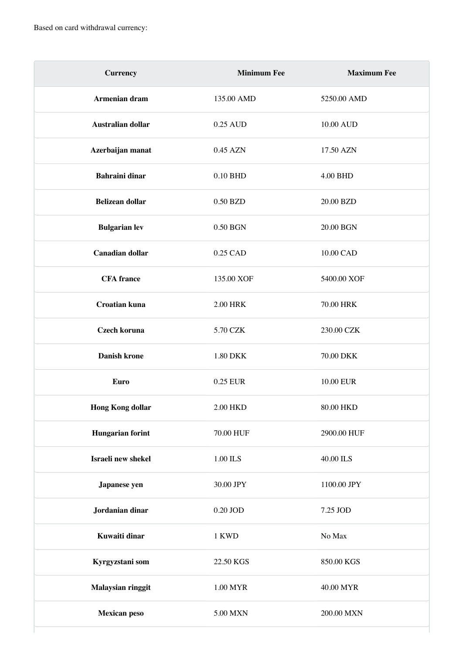| <b>Currency</b>         | <b>Minimum Fee</b> | <b>Maximum Fee</b> |
|-------------------------|--------------------|--------------------|
| Armenian dram           | 135.00 AMD         | 5250.00 AMD        |
| Australian dollar       | 0.25 AUD           | 10.00 AUD          |
| Azerbaijan manat        | 0.45 AZN           | 17.50 AZN          |
| <b>Bahraini dinar</b>   | 0.10 BHD           | 4.00 BHD           |
| <b>Belizean dollar</b>  | 0.50 BZD           | 20.00 BZD          |
| <b>Bulgarian lev</b>    | 0.50 BGN           | 20.00 BGN          |
| <b>Canadian dollar</b>  | 0.25 CAD           | 10.00 CAD          |
| <b>CFA</b> france       | 135.00 XOF         | 5400.00 XOF        |
| <b>Croatian kuna</b>    | <b>2.00 HRK</b>    | 70.00 HRK          |
| Czech koruna            | 5.70 CZK           | 230.00 CZK         |
| <b>Danish krone</b>     | 1.80 DKK           | 70.00 DKK          |
| <b>Euro</b>             | 0.25 EUR           | 10.00 EUR          |
| <b>Hong Kong dollar</b> | 2.00 HKD           | 80.00 HKD          |
| <b>Hungarian forint</b> | 70.00 HUF          | 2900.00 HUF        |
| Israeli new shekel      | $1.00$ ILS $\,$    | 40.00 ILS          |
| Japanese yen            | 30.00 JPY          | 1100.00 JPY        |
| Jordanian dinar         | $0.20$ JOD $\,$    | 7.25 JOD           |
| Kuwaiti dinar           | 1 KWD              | $\rm No~Max$       |
| Kyrgyzstani som         | 22.50 KGS          | 850.00 KGS         |
| Malaysian ringgit       | 1.00 MYR           | 40.00 MYR          |
| <b>Mexican peso</b>     | 5.00 MXN           | 200.00 MXN         |
|                         |                    |                    |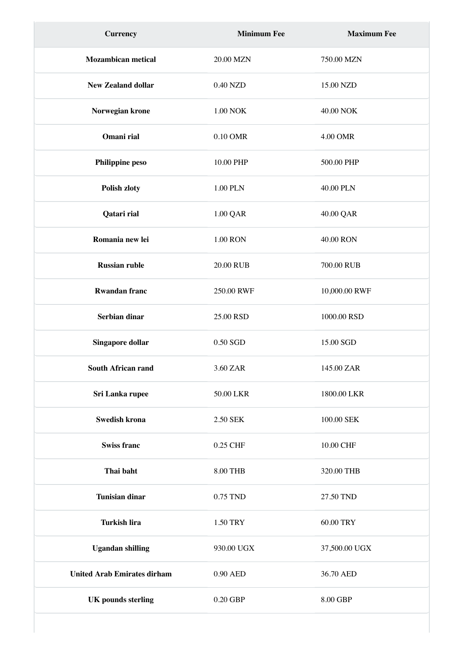| <b>Currency</b>                    | <b>Minimum Fee</b> | <b>Maximum Fee</b> |
|------------------------------------|--------------------|--------------------|
| <b>Mozambican metical</b>          | 20.00 MZN          | 750.00 MZN         |
| <b>New Zealand dollar</b>          | 0.40 NZD           | 15.00 NZD          |
| Norwegian krone                    | <b>1.00 NOK</b>    | 40.00 NOK          |
| Omani rial                         | 0.10 OMR           | 4.00 OMR           |
| Philippine peso                    | 10.00 PHP          | 500.00 PHP         |
| Polish zloty                       | 1.00 PLN           | 40.00 PLN          |
| Qatari rial                        | 1.00 QAR           | 40.00 QAR          |
| Romania new lei                    | <b>1.00 RON</b>    | 40.00 RON          |
| <b>Russian ruble</b>               | 20.00 RUB          | 700.00 RUB         |
| <b>Rwandan franc</b>               | 250.00 RWF         | 10,000.00 RWF      |
| Serbian dinar                      | 25.00 RSD          | 1000.00 RSD        |
| Singapore dollar                   | 0.50 SGD           | 15.00 SGD          |
| <b>South African rand</b>          | 3.60 ZAR           | 145.00 ZAR         |
| Sri Lanka rupee                    | 50.00 LKR          | 1800.00 LKR        |
| <b>Swedish krona</b>               | 2.50 SEK           | 100.00 SEK         |
| <b>Swiss franc</b>                 | 0.25 CHF           | 10.00 CHF          |
| Thai baht                          | 8.00 THB           | 320.00 THB         |
| <b>Tunisian dinar</b>              | 0.75 TND           | 27.50 TND          |
| <b>Turkish lira</b>                | 1.50 TRY           | 60.00 TRY          |
| <b>Ugandan shilling</b>            | 930.00 UGX         | 37,500.00 UGX      |
| <b>United Arab Emirates dirham</b> | 0.90 AED           | 36.70 AED          |
| <b>UK</b> pounds sterling          | 0.20 GBP           | 8.00 GBP           |
|                                    |                    |                    |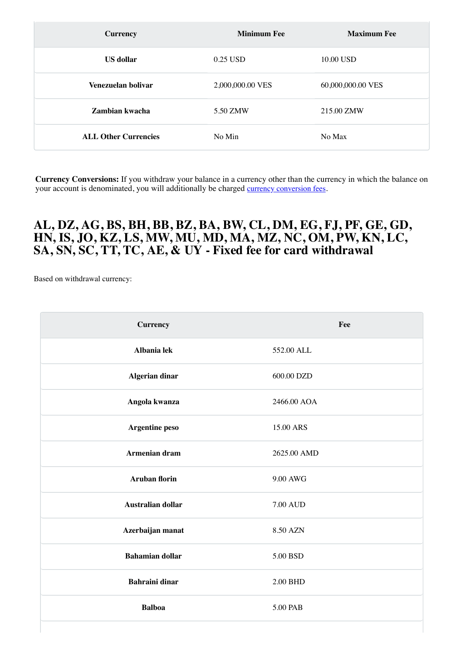| <b>Currency</b>             | <b>Minimum Fee</b> | <b>Maximum Fee</b> |
|-----------------------------|--------------------|--------------------|
| <b>US</b> dollar            | 0.25 USD           | 10.00 USD          |
| Venezuelan bolivar          | 2,000,000.00 VES   | 60,000,000.00 VES  |
| Zambian kwacha              | 5.50 ZMW           | 215.00 ZMW         |
| <b>ALL Other Currencies</b> | No Min             | No Max             |

### <span id="page-16-0"></span>**AL, DZ, AG, BS, BH, BB, BZ, BA, BW, CL, DM, EG, FJ, PF, GE, GD, HN, IS, JO, KZ, LS, MW, MU, MD, MA, MZ, NC, OM, PW, KN, LC, SA, SN, SC, TT, TC, AE, & UY - Fixed fee for card withdrawal**

Based on withdrawal currency:

| <b>Currency</b>          | Fee             |
|--------------------------|-----------------|
| Albania lek              | 552.00 ALL      |
| <b>Algerian dinar</b>    | 600.00 DZD      |
| Angola kwanza            | 2466.00 AOA     |
| Argentine peso           | 15.00 ARS       |
| Armenian dram            | 2625.00 AMD     |
| <b>Aruban florin</b>     | 9.00 AWG        |
| <b>Australian dollar</b> | <b>7.00 AUD</b> |
| Azerbaijan manat         | 8.50 AZN        |
| <b>Bahamian dollar</b>   | 5.00 BSD        |
| <b>Bahraini dinar</b>    | 2.00 BHD        |
| <b>Balboa</b>            | 5.00 PAB        |
|                          |                 |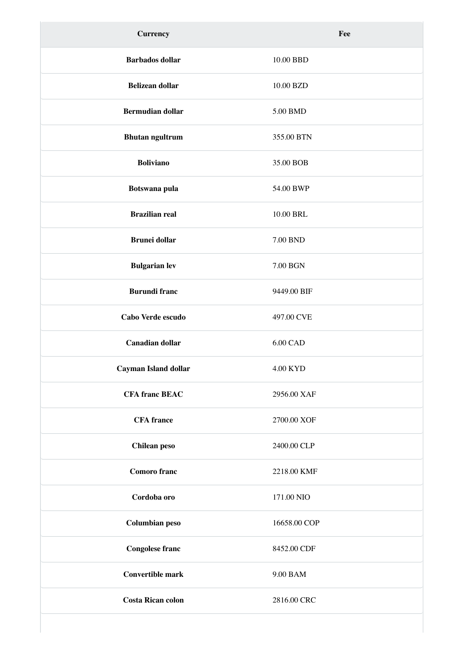| <b>Currency</b>             | Fee             |
|-----------------------------|-----------------|
| <b>Barbados</b> dollar      | 10.00 BBD       |
| <b>Belizean dollar</b>      | 10.00 BZD       |
| <b>Bermudian dollar</b>     | 5.00 BMD        |
| <b>Bhutan ngultrum</b>      | 355.00 BTN      |
| <b>Boliviano</b>            | 35.00 BOB       |
| Botswana pula               | 54.00 BWP       |
| <b>Brazilian real</b>       | 10.00 BRL       |
| <b>Brunei dollar</b>        | 7.00 BND        |
| <b>Bulgarian lev</b>        | 7.00 BGN        |
| <b>Burundi franc</b>        | 9449.00 BIF     |
| Cabo Verde escudo           | 497.00 CVE      |
| <b>Canadian dollar</b>      | <b>6.00 CAD</b> |
| <b>Cayman Island dollar</b> | 4.00 KYD        |
| <b>CFA franc BEAC</b>       | 2956.00 XAF     |
| <b>CFA</b> france           | 2700.00 XOF     |
| <b>Chilean</b> peso         | 2400.00 CLP     |
| <b>Comoro</b> franc         | 2218.00 KMF     |
| Cordoba oro                 | 171.00 NIO      |
| <b>Columbian peso</b>       | 16658.00 COP    |
| <b>Congolese franc</b>      | 8452.00 CDF     |
| <b>Convertible mark</b>     | 9.00 BAM        |
| <b>Costa Rican colon</b>    | 2816.00 CRC     |
|                             |                 |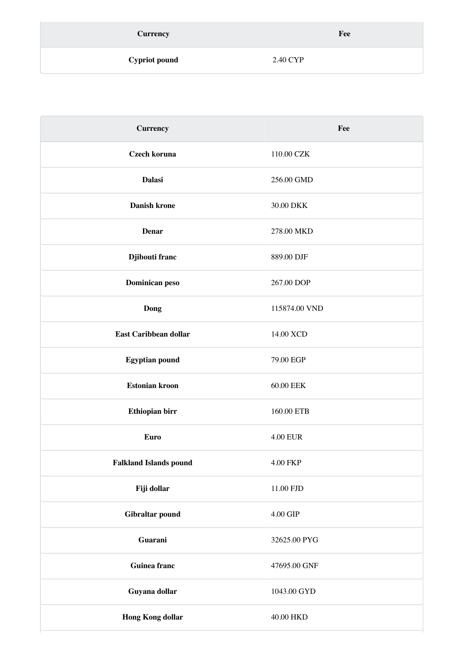| <b>Currency</b>      | Fee      |
|----------------------|----------|
| <b>Cypriot pound</b> | 2.40 CYP |

| <b>Currency</b>               | Fee             |
|-------------------------------|-----------------|
| Czech koruna                  | 110.00 CZK      |
| <b>Dalasi</b>                 | 256.00 GMD      |
| <b>Danish krone</b>           | 30.00 DKK       |
| <b>Denar</b>                  | 278.00 MKD      |
| Djibouti franc                | 889.00 DJF      |
| Dominican peso                | 267.00 DOP      |
| <b>Dong</b>                   | 115874.00 VND   |
| <b>East Caribbean dollar</b>  | 14.00 XCD       |
| <b>Egyptian pound</b>         | 79.00 EGP       |
| <b>Estonian kroon</b>         | 60.00 EEK       |
| Ethiopian birr                | 160.00 ETB      |
| Euro                          | <b>4.00 EUR</b> |
| <b>Falkland Islands pound</b> | 4.00 FKP        |
| Fiji dollar                   | 11.00 FJD       |
| Gibraltar pound               | 4.00 GIP        |
| Guarani                       | 32625.00 PYG    |
| <b>Guinea franc</b>           | 47695.00 GNF    |
| Guyana dollar                 | 1043.00 GYD     |
| <b>Hong Kong dollar</b>       | 40.00 HKD       |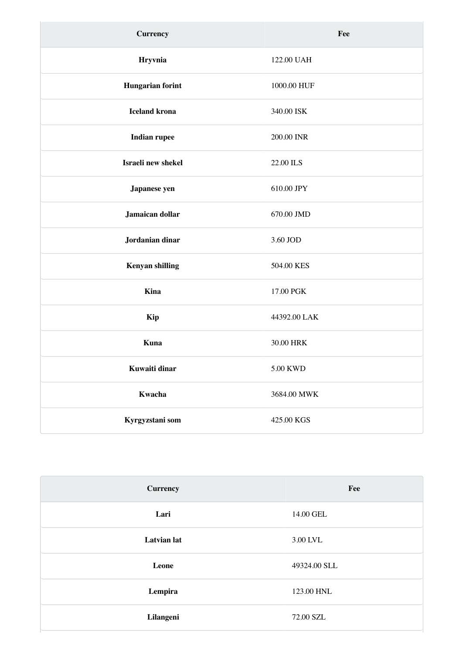| <b>Currency</b>         | Fee          |
|-------------------------|--------------|
| Hryvnia                 | 122.00 UAH   |
| <b>Hungarian forint</b> | 1000.00 HUF  |
| <b>Iceland krona</b>    | 340.00 ISK   |
| <b>Indian rupee</b>     | 200.00 INR   |
| Israeli new shekel      | 22.00 ILS    |
| Japanese yen            | 610.00 JPY   |
| Jamaican dollar         | 670.00 JMD   |
| Jordanian dinar         | 3.60 JOD     |
| <b>Kenyan shilling</b>  | 504.00 KES   |
| Kina                    | 17.00 PGK    |
| <b>Kip</b>              | 44392.00 LAK |
| Kuna                    | 30.00 HRK    |
| Kuwaiti dinar           | 5.00 KWD     |
| Kwacha                  | 3684.00 MWK  |
| Kyrgyzstani som         | 425.00 KGS   |

| <b>Currency</b>    | Fee          |
|--------------------|--------------|
| Lari               | 14.00 GEL    |
| <b>Latvian</b> lat | 3.00 LVL     |
| Leone              | 49324.00 SLL |
| Lempira            | 123.00 HNL   |
| Lilangeni          | 72.00 SZL    |
|                    |              |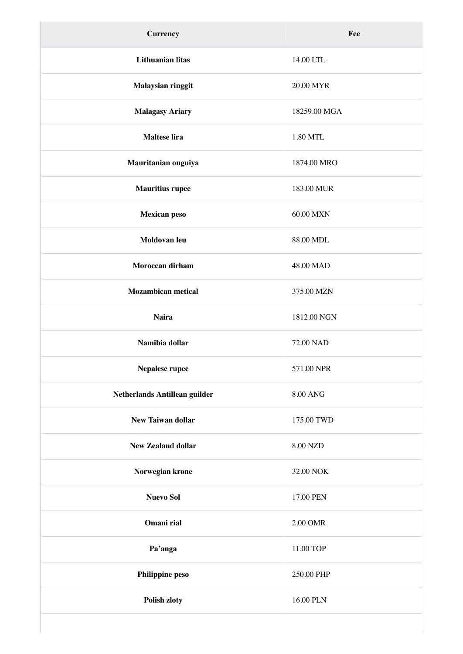| <b>Currency</b>               | Fee             |
|-------------------------------|-----------------|
| <b>Lithuanian litas</b>       | 14.00 LTL       |
| Malaysian ringgit             | 20.00 MYR       |
| <b>Malagasy Ariary</b>        | 18259.00 MGA    |
| <b>Maltese lira</b>           | 1.80 MTL        |
| Mauritanian ouguiya           | 1874.00 MRO     |
| <b>Mauritius rupee</b>        | 183.00 MUR      |
| <b>Mexican peso</b>           | 60.00 MXN       |
| Moldovan leu                  | 88.00 MDL       |
| Moroccan dirham               | 48.00 MAD       |
| <b>Mozambican metical</b>     | 375.00 MZN      |
| <b>Naira</b>                  | 1812.00 NGN     |
| Namibia dollar                | 72.00 NAD       |
| Nepalese rupee                | 571.00 NPR      |
| Netherlands Antillean guilder | <b>8.00 ANG</b> |
| <b>New Taiwan dollar</b>      | 175.00 TWD      |
| <b>New Zealand dollar</b>     | 8.00 NZD        |
| Norwegian krone               | 32.00 NOK       |
| <b>Nuevo Sol</b>              | 17.00 PEN       |
| Omani rial                    | 2.00 OMR        |
| Pa'anga                       | 11.00 TOP       |
| Philippine peso               | 250.00 PHP      |
| Polish zloty                  | 16.00 PLN       |
|                               |                 |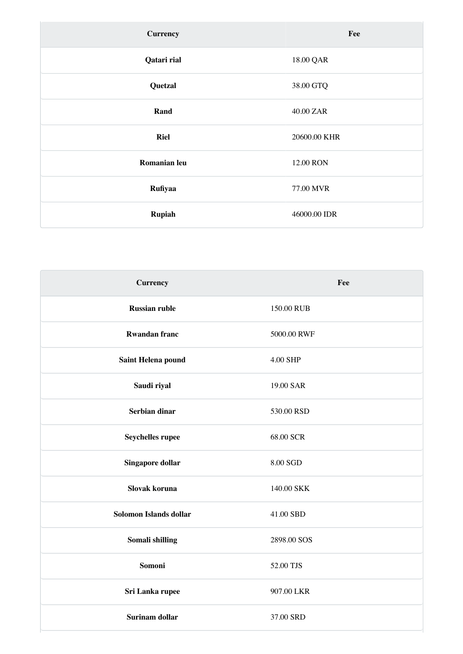| <b>Currency</b> | Fee          |
|-----------------|--------------|
| Qatari rial     | 18.00 QAR    |
| Quetzal         | 38.00 GTQ    |
| Rand            | 40.00 ZAR    |
| <b>Riel</b>     | 20600.00 KHR |
| Romanian leu    | 12.00 RON    |
| Rufiyaa         | 77.00 MVR    |
| Rupiah          | 46000.00 IDR |

| <b>Currency</b>        | Fee         |
|------------------------|-------------|
| <b>Russian ruble</b>   | 150.00 RUB  |
| <b>Rwandan franc</b>   | 5000.00 RWF |
| Saint Helena pound     | 4.00 SHP    |
| Saudi riyal            | 19.00 SAR   |
| Serbian dinar          | 530.00 RSD  |
| Seychelles rupee       | 68.00 SCR   |
| Singapore dollar       | 8.00 SGD    |
| Slovak koruna          | 140.00 SKK  |
| Solomon Islands dollar | 41.00 SBD   |
| Somali shilling        | 2898.00 SOS |
| Somoni                 | 52.00 TJS   |
| Sri Lanka rupee        | 907.00 LKR  |
| <b>Surinam dollar</b>  | 37.00 SRD   |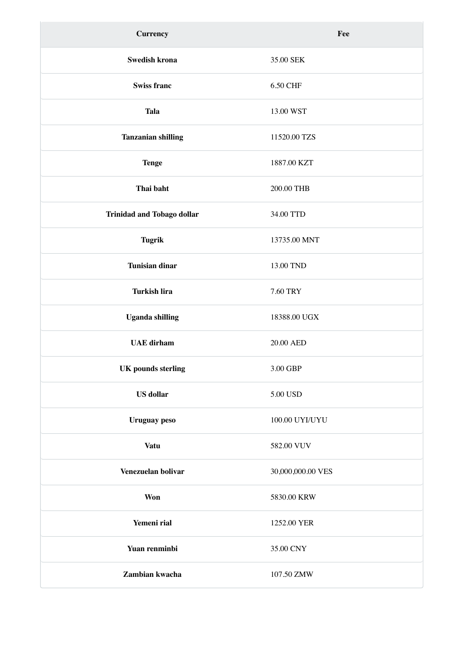| <b>Currency</b>                   | Fee               |
|-----------------------------------|-------------------|
| Swedish krona                     | 35.00 SEK         |
| <b>Swiss franc</b>                | 6.50 CHF          |
| <b>Tala</b>                       | 13.00 WST         |
| <b>Tanzanian shilling</b>         | 11520.00 TZS      |
| <b>Tenge</b>                      | 1887.00 KZT       |
| Thai baht                         | 200.00 THB        |
| <b>Trinidad and Tobago dollar</b> | 34.00 TTD         |
| <b>Tugrik</b>                     | 13735.00 MNT      |
| <b>Tunisian dinar</b>             | 13.00 TND         |
| <b>Turkish lira</b>               | 7.60 TRY          |
| <b>Uganda shilling</b>            | 18388.00 UGX      |
| <b>UAE</b> dirham                 | 20.00 AED         |
| <b>UK</b> pounds sterling         | 3.00 GBP          |
| <b>US</b> dollar                  | 5.00 USD          |
| <b>Uruguay</b> peso               | 100.00 UYI/UYU    |
| <b>Vatu</b>                       | 582.00 VUV        |
| Venezuelan bolivar                | 30,000,000.00 VES |
| <b>Won</b>                        | 5830.00 KRW       |
| Yemeni rial                       | 1252.00 YER       |
| Yuan renminbi                     | 35.00 CNY         |
| Zambian kwacha                    | 107.50 ZMW        |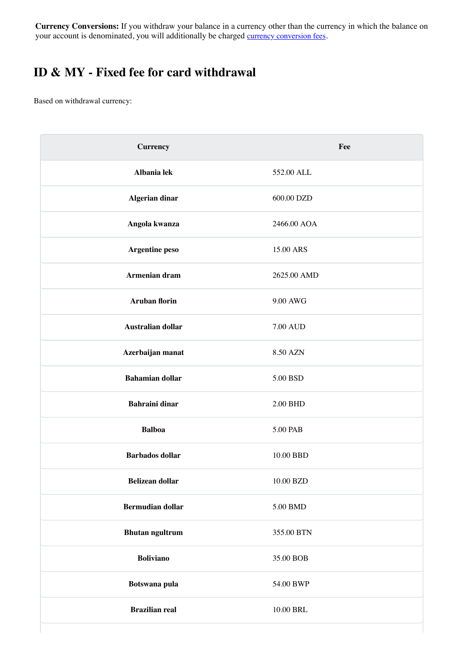### <span id="page-23-0"></span>**ID & MY - Fixed fee for card withdrawal**

Based on withdrawal currency:

| <b>Currency</b>         | Fee             |
|-------------------------|-----------------|
| Albania lek             | 552.00 ALL      |
| <b>Algerian dinar</b>   | 600.00 DZD      |
| Angola kwanza           | 2466.00 AOA     |
| Argentine peso          | 15.00 ARS       |
| Armenian dram           | 2625.00 AMD     |
| <b>Aruban florin</b>    | 9.00 AWG        |
| Australian dollar       | <b>7.00 AUD</b> |
| Azerbaijan manat        | 8.50 AZN        |
| <b>Bahamian dollar</b>  | 5.00 BSD        |
| <b>Bahraini dinar</b>   | 2.00 BHD        |
| <b>Balboa</b>           | 5.00 PAB        |
| <b>Barbados</b> dollar  | 10.00 BBD       |
| Belizean dollar         | 10.00 BZD       |
| <b>Bermudian dollar</b> | 5.00 BMD        |
| <b>Bhutan ngultrum</b>  | 355.00 BTN      |
| <b>Boliviano</b>        | 35.00 BOB       |
| Botswana pula           | 54.00 BWP       |
| <b>Brazilian real</b>   | 10.00 BRL       |
|                         |                 |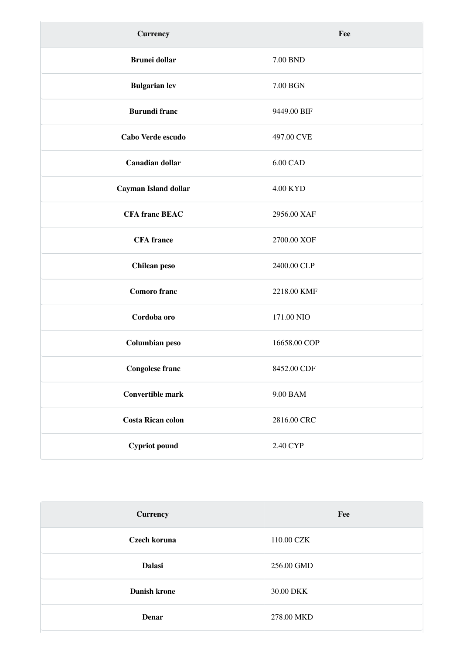| <b>Currency</b>          | Fee             |
|--------------------------|-----------------|
| <b>Brunei dollar</b>     | 7.00 BND        |
| <b>Bulgarian lev</b>     | 7.00 BGN        |
| <b>Burundi franc</b>     | 9449.00 BIF     |
| Cabo Verde escudo        | 497.00 CVE      |
| <b>Canadian dollar</b>   | 6.00 CAD        |
| Cayman Island dollar     | <b>4.00 KYD</b> |
| <b>CFA franc BEAC</b>    | 2956.00 XAF     |
| <b>CFA</b> france        | 2700.00 XOF     |
| <b>Chilean</b> peso      | 2400.00 CLP     |
| <b>Comoro</b> franc      | 2218.00 KMF     |
| Cordoba oro              | 171.00 NIO      |
| <b>Columbian peso</b>    | 16658.00 COP    |
| <b>Congolese franc</b>   | 8452.00 CDF     |
| <b>Convertible mark</b>  | 9.00 BAM        |
| <b>Costa Rican colon</b> | 2816.00 CRC     |
| <b>Cypriot</b> pound     | 2.40 CYP        |

| <b>Currency</b> | Fee        |
|-----------------|------------|
| Czech koruna    | 110.00 CZK |
| <b>Dalasi</b>   | 256.00 GMD |
| Danish krone    | 30.00 DKK  |
| Denar           | 278.00 MKD |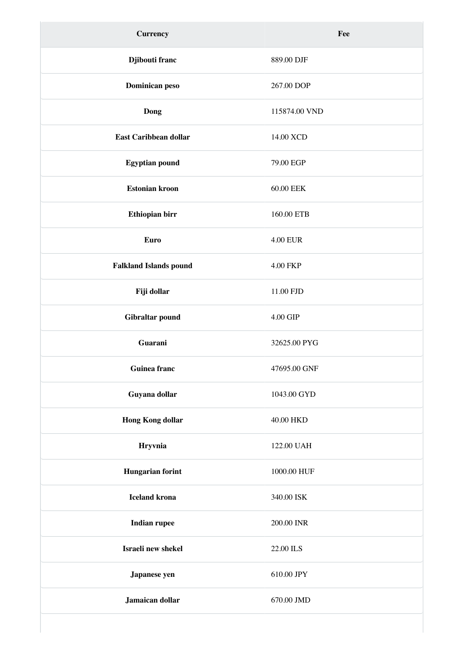| <b>Currency</b>               | Fee             |
|-------------------------------|-----------------|
| Djibouti franc                | 889.00 DJF      |
| Dominican peso                | 267.00 DOP      |
| <b>Dong</b>                   | 115874.00 VND   |
| East Caribbean dollar         | 14.00 XCD       |
| <b>Egyptian pound</b>         | 79.00 EGP       |
| <b>Estonian kroon</b>         | 60.00 EEK       |
| Ethiopian birr                | 160.00 ETB      |
| <b>Euro</b>                   | <b>4.00 EUR</b> |
| <b>Falkland Islands pound</b> | 4.00 FKP        |
| Fiji dollar                   | 11.00 FJD       |
| Gibraltar pound               | 4.00 GIP        |
| Guarani                       | 32625.00 PYG    |
| <b>Guinea franc</b>           | 47695.00 GNF    |
| Guyana dollar                 | 1043.00 GYD     |
| <b>Hong Kong dollar</b>       | 40.00 HKD       |
| Hryvnia                       | 122.00 UAH      |
| <b>Hungarian forint</b>       | 1000.00 HUF     |
| <b>Iceland krona</b>          | 340.00 ISK      |
| <b>Indian rupee</b>           | 200.00 INR      |
| Israeli new shekel            | 22.00 ILS       |
| Japanese yen                  | 610.00 JPY      |
| Jamaican dollar               | 670.00 JMD      |
|                               |                 |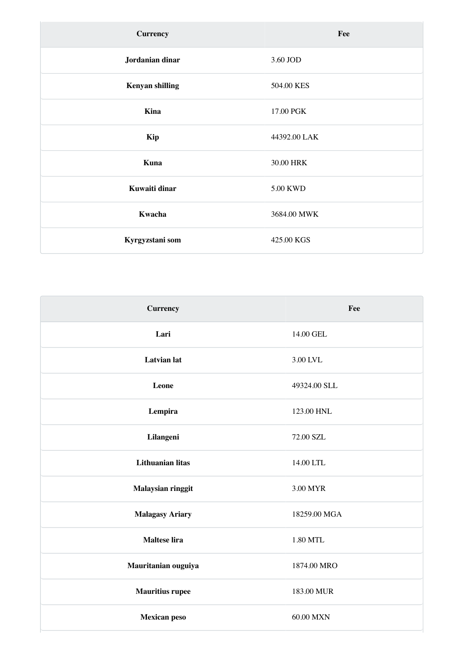| <b>Currency</b>        | Fee          |
|------------------------|--------------|
| Jordanian dinar        | 3.60 JOD     |
| <b>Kenyan shilling</b> | 504.00 KES   |
| Kina                   | 17.00 PGK    |
| Kip                    | 44392.00 LAK |
| Kuna                   | 30.00 HRK    |
| Kuwaiti dinar          | 5.00 KWD     |
| Kwacha                 | 3684.00 MWK  |
| Kyrgyzstani som        | 425.00 KGS   |

 $\sqrt{2}$ 

| <b>Currency</b>         | Fee          |
|-------------------------|--------------|
| Lari                    | 14.00 GEL    |
| <b>Latvian</b> lat      | 3.00 LVL     |
| Leone                   | 49324.00 SLL |
| Lempira                 | 123.00 HNL   |
| Lilangeni               | 72.00 SZL    |
| <b>Lithuanian litas</b> | 14.00 LTL    |
| Malaysian ringgit       | 3.00 MYR     |
| <b>Malagasy Ariary</b>  | 18259.00 MGA |
| Maltese lira            | 1.80 MTL     |
| Mauritanian ouguiya     | 1874.00 MRO  |
| <b>Mauritius rupee</b>  | 183.00 MUR   |
| <b>Mexican peso</b>     | 60.00 MXN    |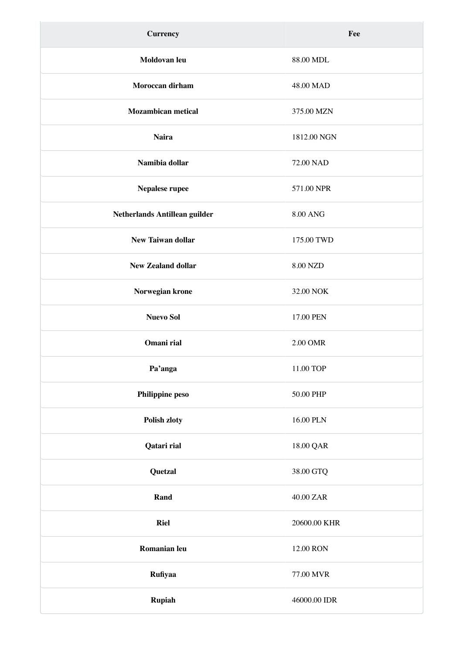| <b>Currency</b>               | Fee             |
|-------------------------------|-----------------|
| Moldovan leu                  | 88.00 MDL       |
| Moroccan dirham               | 48.00 MAD       |
| <b>Mozambican metical</b>     | 375.00 MZN      |
| <b>Naira</b>                  | 1812.00 NGN     |
| Namibia dollar                | 72.00 NAD       |
| Nepalese rupee                | 571.00 NPR      |
| Netherlands Antillean guilder | <b>8.00 ANG</b> |
| <b>New Taiwan dollar</b>      | 175.00 TWD      |
| <b>New Zealand dollar</b>     | 8.00 NZD        |
| Norwegian krone               | 32.00 NOK       |
| <b>Nuevo Sol</b>              | 17.00 PEN       |
| Omani rial                    | 2.00 OMR        |
| Pa'anga                       | 11.00 TOP       |
| Philippine peso               | 50.00 PHP       |
| Polish zloty                  | 16.00 PLN       |
| Qatari rial                   | 18.00 QAR       |
| Quetzal                       | 38.00 GTQ       |
| Rand                          | 40.00 ZAR       |
| <b>Riel</b>                   | 20600.00 KHR    |
| Romanian leu                  | 12.00 RON       |
| Rufiyaa                       | 77.00 MVR       |
| Rupiah                        | 46000.00 IDR    |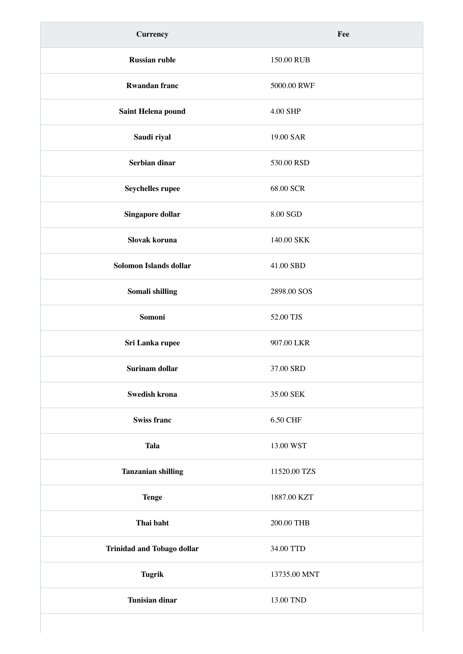| <b>Currency</b>                   | Fee          |
|-----------------------------------|--------------|
| <b>Russian ruble</b>              | 150.00 RUB   |
| <b>Rwandan franc</b>              | 5000.00 RWF  |
| Saint Helena pound                | 4.00 SHP     |
| Saudi riyal                       | 19.00 SAR    |
| Serbian dinar                     | 530.00 RSD   |
| Seychelles rupee                  | 68.00 SCR    |
| <b>Singapore dollar</b>           | 8.00 SGD     |
| Slovak koruna                     | 140.00 SKK   |
| Solomon Islands dollar            | 41.00 SBD    |
| Somali shilling                   | 2898.00 SOS  |
| Somoni                            | 52.00 TJS    |
| Sri Lanka rupee                   | 907.00 LKR   |
| Surinam dollar                    | 37.00 SRD    |
| Swedish krona                     | 35.00 SEK    |
| <b>Swiss franc</b>                | 6.50 CHF     |
| <b>Tala</b>                       | 13.00 WST    |
| <b>Tanzanian shilling</b>         | 11520.00 TZS |
| <b>Tenge</b>                      | 1887.00 KZT  |
| Thai baht                         | 200.00 THB   |
| <b>Trinidad and Tobago dollar</b> | 34.00 TTD    |
| <b>Tugrik</b>                     | 13735.00 MNT |
| <b>Tunisian dinar</b>             | 13.00 TND    |
|                                   |              |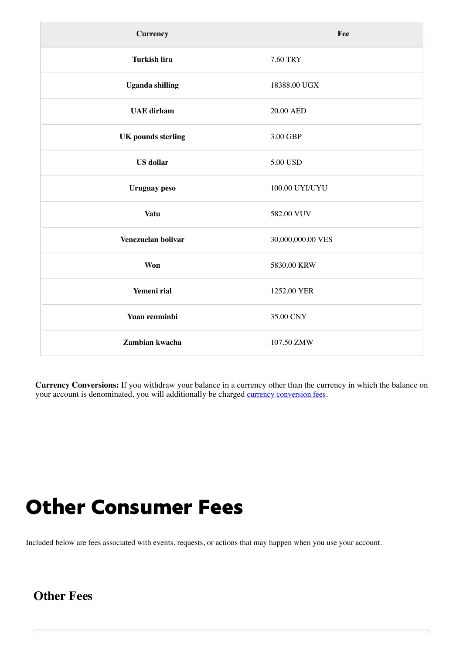| <b>Currency</b>           | Fee               |
|---------------------------|-------------------|
| <b>Turkish lira</b>       | 7.60 TRY          |
| <b>Uganda shilling</b>    | 18388.00 UGX      |
| <b>UAE</b> dirham         | 20.00 AED         |
| <b>UK</b> pounds sterling | 3.00 GBP          |
| <b>US</b> dollar          | 5.00 USD          |
| <b>Uruguay</b> peso       | 100.00 UYI/UYU    |
| <b>Vatu</b>               | 582.00 VUV        |
| Venezuelan bolivar        | 30,000,000.00 VES |
| Won                       | 5830.00 KRW       |
| Yemeni rial               | 1252.00 YER       |
| Yuan renminbi             | 35.00 CNY         |
| Zambian kwacha            | 107.50 ZMW        |

## Other Consumer Fees

Included below are fees associated with events, requests, or actions that may happen when you use your account.

### **Other Fees**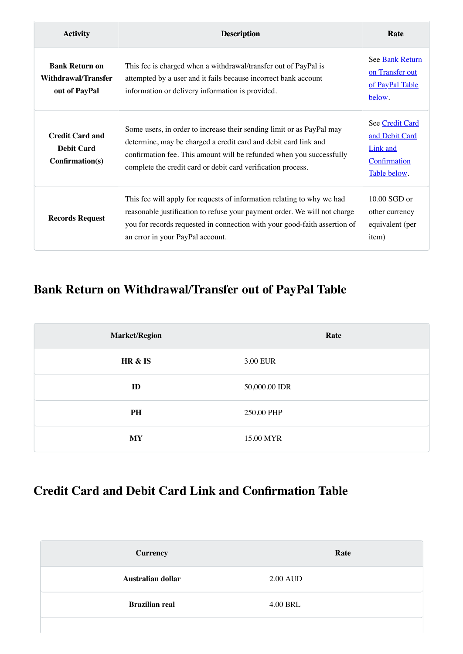| <b>Activity</b>                                                      | <b>Description</b>                                                                                                                                                                                                                                                               | Rate                                                                                 |
|----------------------------------------------------------------------|----------------------------------------------------------------------------------------------------------------------------------------------------------------------------------------------------------------------------------------------------------------------------------|--------------------------------------------------------------------------------------|
| <b>Bank Return on</b><br><b>Withdrawal/Transfer</b><br>out of PayPal | This fee is charged when a withdrawal/transfer out of PayPal is<br>attempted by a user and it fails because incorrect bank account<br>information or delivery information is provided.                                                                                           | See Bank Return<br>on Transfer out<br>of PayPal Table<br>below.                      |
| <b>Credit Card and</b><br><b>Debit Card</b><br>Confirmation(s)       | Some users, in order to increase their sending limit or as PayPal may<br>determine, may be charged a credit card and debit card link and<br>confirmation fee. This amount will be refunded when you successfully<br>complete the credit card or debit card verification process. | See Credit Card<br>and Debit Card<br><b>Link and</b><br>Confirmation<br>Table below. |
| <b>Records Request</b>                                               | This fee will apply for requests of information relating to why we had<br>reasonable justification to refuse your payment order. We will not charge<br>you for records requested in connection with your good-faith assertion of<br>an error in your PayPal account.             | $10.00$ SGD or<br>other currency<br>equivalent (per<br>item)                         |

## <span id="page-30-0"></span>**Bank Return on Withdrawal/Transfer out of PayPal Table**

| <b>Market/Region</b> | Rate          |
|----------------------|---------------|
| HR & IS              | 3.00 EUR      |
| ID                   | 50,000.00 IDR |
| PH                   | 250.00 PHP    |
| <b>MY</b>            | 15.00 MYR     |

### <span id="page-30-1"></span>**Credit Card and Debit Card Link and Confirmation Table**

| <b>Currency</b>       | Rate            |
|-----------------------|-----------------|
| Australian dollar     | <b>2.00 AUD</b> |
| <b>Brazilian real</b> | 4.00 BRL        |
|                       |                 |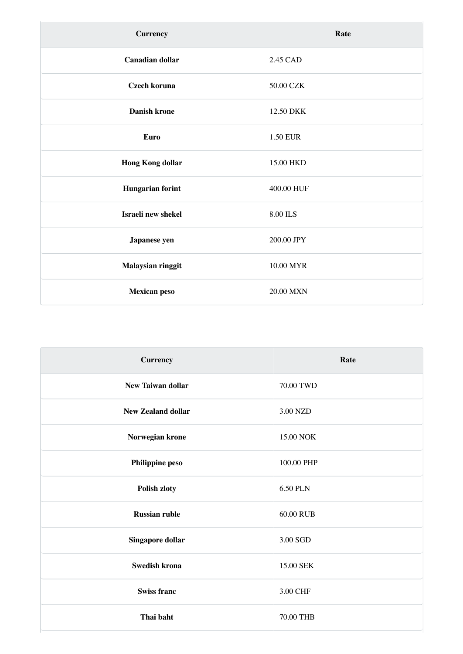| <b>Currency</b>         | Rate            |
|-------------------------|-----------------|
| <b>Canadian dollar</b>  | 2.45 CAD        |
| Czech koruna            | 50.00 CZK       |
| <b>Danish krone</b>     | 12.50 DKK       |
| <b>Euro</b>             | 1.50 EUR        |
| <b>Hong Kong dollar</b> | 15.00 HKD       |
| Hungarian forint        | 400.00 HUF      |
| Israeli new shekel      | $8.00$ ILS $\,$ |
| Japanese yen            | 200.00 JPY      |
| Malaysian ringgit       | 10.00 MYR       |
| Mexican peso            | 20.00 MXN       |

| <b>Currency</b>           | Rate            |
|---------------------------|-----------------|
| <b>New Taiwan dollar</b>  | 70.00 TWD       |
| <b>New Zealand dollar</b> | 3.00 NZD        |
| Norwegian krone           | 15.00 NOK       |
| Philippine peso           | 100.00 PHP      |
| Polish zloty              | <b>6.50 PLN</b> |
| <b>Russian ruble</b>      | 60.00 RUB       |
| Singapore dollar          | 3.00 SGD        |
| <b>Swedish krona</b>      | 15.00 SEK       |
| <b>Swiss franc</b>        | 3.00 CHF        |
| Thai baht                 | 70.00 THB       |